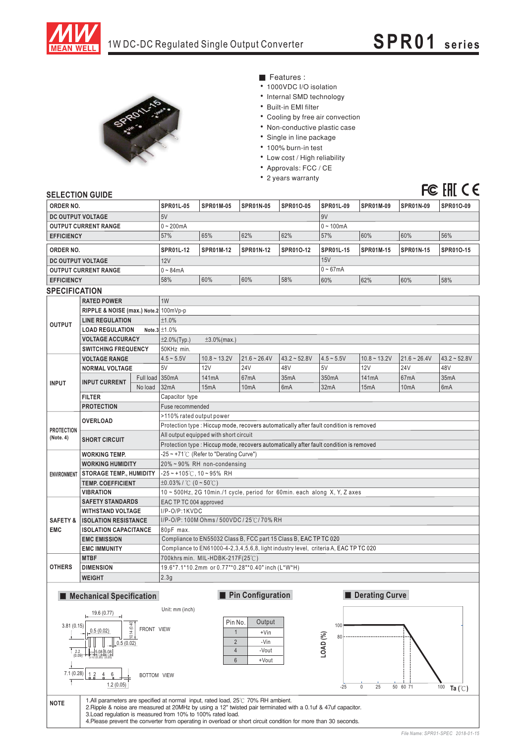

FC FII CE



 $\blacksquare$  Features :

- 1000VDC I/O isolation
- Internal SMD technology
- Built-in EMI filter
- Cooling by free air convection
- Non-conductive plastic case
- Single in line package
- 100% burn-in test
- Low cost / High reliability
- Approvals: FCC / CE
- 2 years warranty

## SELECTION GUIDE

| ---------------                   |                                                     |                 |                                                                                        |                                     |                   |                |                  |                  |                   |                   |
|-----------------------------------|-----------------------------------------------------|-----------------|----------------------------------------------------------------------------------------|-------------------------------------|-------------------|----------------|------------------|------------------|-------------------|-------------------|
| ORDER NO.                         |                                                     |                 | <b>SPR01L-05</b>                                                                       | <b>SPR01M-05</b>                    | <b>SPR01N-05</b>  | SPR010-05      | <b>SPR01L-09</b> | <b>SPR01M-09</b> | <b>SPR01N-09</b>  | SPR01O-09         |
| DC OUTPUT VOLTAGE                 |                                                     |                 | 5V                                                                                     |                                     |                   |                | 9V               |                  |                   |                   |
| <b>OUTPUT CURRENT RANGE</b>       |                                                     |                 | $0 - 200mA$                                                                            |                                     |                   |                | $0 - 100mA$      |                  |                   |                   |
| <b>EFFICIENCY</b>                 |                                                     |                 | 57%                                                                                    | 65%                                 | 62%               | 62%            | 57%              | 60%              | 60%               | 56%               |
| ORDER NO.                         |                                                     |                 | <b>SPR01L-12</b>                                                                       | <b>SPR01M-12</b>                    | SPR01N-12         | SPR010-12      | <b>SPR01L-15</b> | <b>SPR01M-15</b> | <b>SPR01N-15</b>  | SPR010-15         |
| DC OUTPUT VOLTAGE                 |                                                     |                 | 12V                                                                                    |                                     |                   |                | 15V              |                  |                   |                   |
| <b>OUTPUT CURRENT RANGE</b>       |                                                     |                 | $0 - 84mA$                                                                             |                                     |                   |                | $0 - 67mA$       |                  |                   |                   |
| <b>EFFICIENCY</b>                 |                                                     |                 | 58%                                                                                    | 60%                                 | 60%               | 58%            | 60%              | 62%              | 60%               | 58%               |
| <b>SPECIFICATION</b>              |                                                     |                 |                                                                                        |                                     |                   |                |                  |                  |                   |                   |
| <b>RATED POWER</b>                |                                                     |                 | 1W                                                                                     |                                     |                   |                |                  |                  |                   |                   |
| <b>OUTPUT</b>                     | RIPPLE & NOISE (max.) Note.2 100mVp-p               |                 |                                                                                        |                                     |                   |                |                  |                  |                   |                   |
|                                   | <b>LINE REGULATION</b>                              |                 | ±1.0%                                                                                  |                                     |                   |                |                  |                  |                   |                   |
|                                   | <b>LOAD REGULATION</b>                              |                 | Note. $3 \pm 1.0\%$                                                                    |                                     |                   |                |                  |                  |                   |                   |
|                                   | <b>VOLTAGE ACCURACY</b>                             |                 | $±2.0\%$ (Typ.)<br>$\pm 3.0\%$ (max.)                                                  |                                     |                   |                |                  |                  |                   |                   |
|                                   | <b>SWITCHING FREQUENCY</b>                          |                 | 50KHz min.                                                                             |                                     |                   |                |                  |                  |                   |                   |
| <b>INPUT</b>                      | <b>VOLTAGE RANGE</b>                                |                 | $4.5 - 5.5V$                                                                           | $10.8 - 13.2V$                      | $21.6 - 26.4V$    | $43.2 - 52.8V$ | $4.5 - 5.5V$     | $10.8 - 13.2V$   | $21.6 - 26.4V$    | $43.2 - 52.8V$    |
|                                   | <b>NORMAL VOLTAGE</b>                               |                 | 5V                                                                                     | 12V                                 | <b>24V</b>        | 48V            | 5V               | 12V              | <b>24V</b>        | 48V               |
|                                   | <b>INPUT CURRENT</b>                                | Full load 350mA |                                                                                        | 141mA                               | 67mA              | 35mA           | 350mA            | 141mA            | 67 <sub>m</sub> A | 35 <sub>m</sub> A |
|                                   |                                                     | No load         | 32mA                                                                                   | 15mA                                | 10 <sub>m</sub> A | 6mA            | 32mA             | 15mA             | 10 <sub>m</sub> A | 6mA               |
|                                   | <b>FILTER</b>                                       |                 | Capacitor type                                                                         |                                     |                   |                |                  |                  |                   |                   |
|                                   | <b>PROTECTION</b>                                   |                 | Fuse recommended                                                                       |                                     |                   |                |                  |                  |                   |                   |
| <b>PROTECTION</b><br>(Note. 4)    | <b>OVERLOAD</b>                                     |                 | >110% rated output power                                                               |                                     |                   |                |                  |                  |                   |                   |
|                                   |                                                     |                 | Protection type : Hiccup mode, recovers automatically after fault condition is removed |                                     |                   |                |                  |                  |                   |                   |
|                                   | <b>SHORT CIRCUIT</b>                                |                 | All output equipped with short circuit                                                 |                                     |                   |                |                  |                  |                   |                   |
|                                   |                                                     |                 | Protection type: Hiccup mode, recovers automatically after fault condition is removed  |                                     |                   |                |                  |                  |                   |                   |
|                                   | <b>WORKING TEMP.</b>                                |                 | -25 ~ +71℃ (Refer to "Derating Curve")                                                 |                                     |                   |                |                  |                  |                   |                   |
|                                   | <b>WORKING HUMIDITY</b>                             |                 | 20%~90% RH non-condensing                                                              |                                     |                   |                |                  |                  |                   |                   |
| <b>ENVIRONMENT</b>                | <b>STORAGE TEMP., HUMIDITY</b>                      |                 | $-25$ ~ +105°C, 10 ~ 95% RH                                                            |                                     |                   |                |                  |                  |                   |                   |
|                                   | <b>TEMP. COEFFICIENT</b>                            |                 | $\pm 0.03\%$ / °C (0 ~ 50°C)                                                           |                                     |                   |                |                  |                  |                   |                   |
|                                   | <b>VIBRATION</b>                                    |                 | 10 ~ 500Hz, 2G 10min./1 cycle, period for 60min. each along X, Y, Z axes               |                                     |                   |                |                  |                  |                   |                   |
|                                   | <b>SAFETY STANDARDS</b><br><b>WITHSTAND VOLTAGE</b> |                 | EAC TP TC 004 approved<br>I/P-O/P:1KVDC                                                |                                     |                   |                |                  |                  |                   |                   |
| <b>SAFETY &amp;</b><br><b>EMC</b> | <b>ISOLATION RESISTANCE</b>                         |                 | I/P-O/P: 100M Ohms / 500VDC / 25°C / 70% RH                                            |                                     |                   |                |                  |                  |                   |                   |
|                                   | <b>ISOLATION CAPACITANCE</b>                        |                 | 80pF max.                                                                              |                                     |                   |                |                  |                  |                   |                   |
|                                   | <b>EMC EMISSION</b>                                 |                 | Compliance to EN55032 Class B, FCC part 15 Class B, EAC TP TC 020                      |                                     |                   |                |                  |                  |                   |                   |
|                                   | <b>EMC IMMUNITY</b>                                 |                 | Compliance to EN61000-4-2,3,4,5,6,8, light industry level, criteria A, EAC TP TC 020   |                                     |                   |                |                  |                  |                   |                   |
| <b>OTHERS</b>                     | <b>MTBF</b>                                         |                 | $700$ khrs min. MIL-HDBK-217F(25°C)                                                    |                                     |                   |                |                  |                  |                   |                   |
|                                   | <b>DIMENSION</b>                                    |                 | 19.6*7.1*10.2mm or 0.77"*0.28"*0.40" inch (L*W*H)                                      |                                     |                   |                |                  |                  |                   |                   |
|                                   | <b>WEIGHT</b>                                       |                 | 2.3g                                                                                   |                                     |                   |                |                  |                  |                   |                   |
|                                   |                                                     |                 |                                                                                        |                                     |                   |                |                  |                  |                   |                   |
|                                   | <b>Mechanical Specification</b>                     |                 |                                                                                        | Pin Configuration<br>Derating Curve |                   |                |                  |                  |                   |                   |
|                                   |                                                     |                 |                                                                                        |                                     |                   |                |                  |                  |                   |                   |
|                                   |                                                     |                 | Unit: mm (inch)                                                                        |                                     |                   |                |                  |                  |                   |                   |
| $\frac{19.6 (0.77)}{9.81 (0.15)}$ |                                                     |                 |                                                                                        | Pin No.                             | Output            |                | 100              |                  |                   |                   |



*File Name: SPR01-SPEC 2018-01-15*